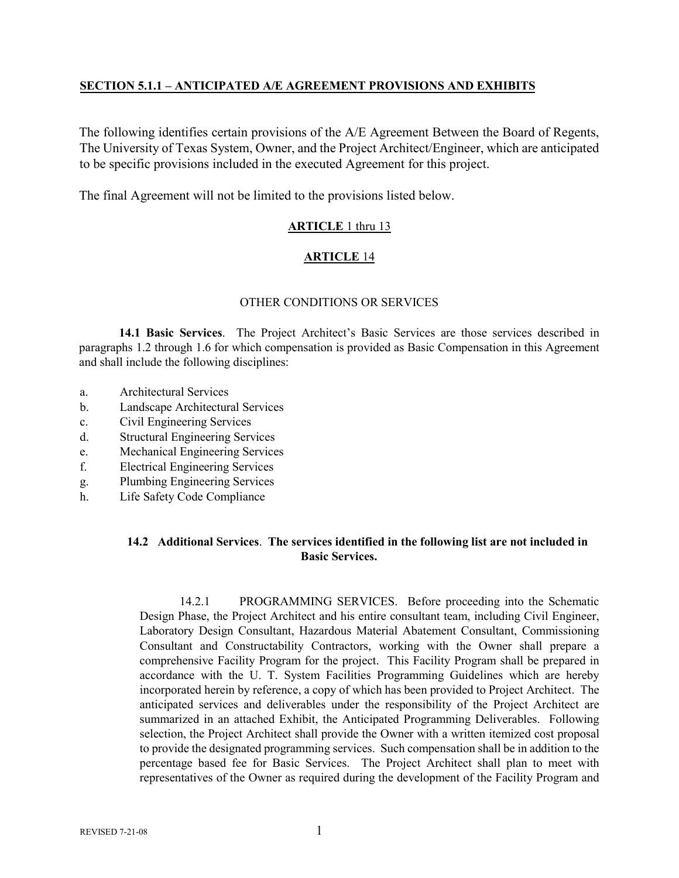## **SECTION 5.1.1 – ANTICIPATED A/E AGREEMENT PROVISIONS AND EXHIBITS**

The following identifies certain provisions of the A/E Agreement Between the Board of Regents, The University of Texas System, Owner, and the Project Architect/Engineer, which are anticipated to be specific provisions included in the executed Agreement for this project.

The final Agreement will not be limited to the provisions listed below.

# **ARTICLE** 1 thru 13

# **ARTICLE** 14

## OTHER CONDITIONS OR SERVICES

**14.1 Basic Services**. The Project Architect's Basic Services are those services described in paragraphs 1.2 through 1.6 for which compensation is provided as Basic Compensation in this Agreement and shall include the following disciplines:

- a. Architectural Services
- b. Landscape Architectural Services
- c. Civil Engineering Services
- d. Structural Engineering Services
- e. Mechanical Engineering Services
- f. Electrical Engineering Services
- g. Plumbing Engineering Services
- h. Life Safety Code Compliance

## **14.2 Additional Services**. **The services identified in the following list are not included in Basic Services.**

14.2.1 PROGRAMMING SERVICES. Before proceeding into the Schematic Design Phase, the Project Architect and his entire consultant team, including Civil Engineer, Laboratory Design Consultant, Hazardous Material Abatement Consultant, Commissioning Consultant and Constructability Contractors, working with the Owner shall prepare a comprehensive Facility Program for the project. This Facility Program shall be prepared in accordance with the U. T. System Facilities Programming Guidelines which are hereby incorporated herein by reference, a copy of which has been provided to Project Architect. The anticipated services and deliverables under the responsibility of the Project Architect are summarized in an attached Exhibit, the Anticipated Programming Deliverables. Following selection, the Project Architect shall provide the Owner with a written itemized cost proposal to provide the designated programming services. Such compensation shall be in addition to the percentage based fee for Basic Services. The Project Architect shall plan to meet with representatives of the Owner as required during the development of the Facility Program and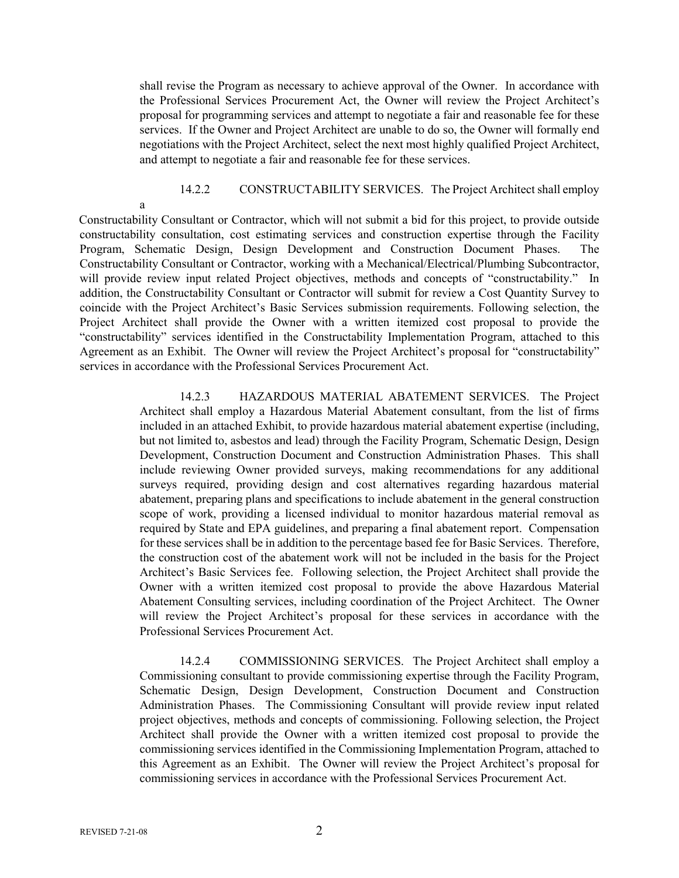shall revise the Program as necessary to achieve approval of the Owner. In accordance with the Professional Services Procurement Act, the Owner will review the Project Architect's proposal for programming services and attempt to negotiate a fair and reasonable fee for these services. If the Owner and Project Architect are unable to do so, the Owner will formally end negotiations with the Project Architect, select the next most highly qualified Project Architect, and attempt to negotiate a fair and reasonable fee for these services.

14.2.2 CONSTRUCTABILITY SERVICES. The Project Architect shall employ

a

Constructability Consultant or Contractor, which will not submit a bid for this project, to provide outside constructability consultation, cost estimating services and construction expertise through the Facility Program, Schematic Design, Design Development and Construction Document Phases. Constructability Consultant or Contractor, working with a Mechanical/Electrical/Plumbing Subcontractor, will provide review input related Project objectives, methods and concepts of "constructability." In addition, the Constructability Consultant or Contractor will submit for review a Cost Quantity Survey to coincide with the Project Architect's Basic Services submission requirements. Following selection, the Project Architect shall provide the Owner with a written itemized cost proposal to provide the "constructability" services identified in the Constructability Implementation Program, attached to this Agreement as an Exhibit. The Owner will review the Project Architect's proposal for "constructability" services in accordance with the Professional Services Procurement Act.

> 14.2.3 HAZARDOUS MATERIAL ABATEMENT SERVICES. The Project Architect shall employ a Hazardous Material Abatement consultant, from the list of firms included in an attached Exhibit, to provide hazardous material abatement expertise (including, but not limited to, asbestos and lead) through the Facility Program, Schematic Design, Design Development, Construction Document and Construction Administration Phases. This shall include reviewing Owner provided surveys, making recommendations for any additional surveys required, providing design and cost alternatives regarding hazardous material abatement, preparing plans and specifications to include abatement in the general construction scope of work, providing a licensed individual to monitor hazardous material removal as required by State and EPA guidelines, and preparing a final abatement report. Compensation for these services shall be in addition to the percentage based fee for Basic Services. Therefore, the construction cost of the abatement work will not be included in the basis for the Project Architect's Basic Services fee. Following selection, the Project Architect shall provide the Owner with a written itemized cost proposal to provide the above Hazardous Material Abatement Consulting services, including coordination of the Project Architect. The Owner will review the Project Architect's proposal for these services in accordance with the Professional Services Procurement Act.

> 14.2.4 COMMISSIONING SERVICES. The Project Architect shall employ a Commissioning consultant to provide commissioning expertise through the Facility Program, Schematic Design, Design Development, Construction Document and Construction Administration Phases. The Commissioning Consultant will provide review input related project objectives, methods and concepts of commissioning. Following selection, the Project Architect shall provide the Owner with a written itemized cost proposal to provide the commissioning services identified in the Commissioning Implementation Program, attached to this Agreement as an Exhibit. The Owner will review the Project Architect's proposal for commissioning services in accordance with the Professional Services Procurement Act.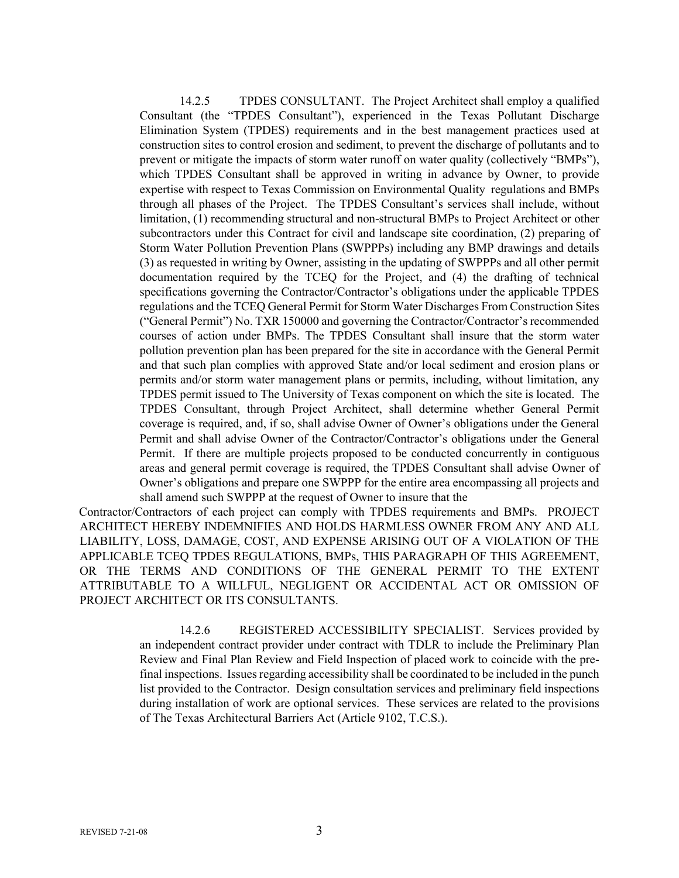14.2.5 TPDES CONSULTANT. The Project Architect shall employ a qualified Consultant (the "TPDES Consultant"), experienced in the Texas Pollutant Discharge Elimination System (TPDES) requirements and in the best management practices used at construction sites to control erosion and sediment, to prevent the discharge of pollutants and to prevent or mitigate the impacts of storm water runoff on water quality (collectively "BMPs"), which TPDES Consultant shall be approved in writing in advance by Owner, to provide expertise with respect to Texas Commission on Environmental Quality regulations and BMPs through all phases of the Project. The TPDES Consultant's services shall include, without limitation, (1) recommending structural and non-structural BMPs to Project Architect or other subcontractors under this Contract for civil and landscape site coordination, (2) preparing of Storm Water Pollution Prevention Plans (SWPPPs) including any BMP drawings and details (3) as requested in writing by Owner, assisting in the updating of SWPPPs and all other permit documentation required by the TCEQ for the Project, and (4) the drafting of technical specifications governing the Contractor/Contractor's obligations under the applicable TPDES regulations and the TCEQ General Permit for Storm Water Discharges From Construction Sites ("General Permit") No. TXR 150000 and governing the Contractor/Contractor's recommended courses of action under BMPs. The TPDES Consultant shall insure that the storm water pollution prevention plan has been prepared for the site in accordance with the General Permit and that such plan complies with approved State and/or local sediment and erosion plans or permits and/or storm water management plans or permits, including, without limitation, any TPDES permit issued to The University of Texas component on which the site is located. The TPDES Consultant, through Project Architect, shall determine whether General Permit coverage is required, and, if so, shall advise Owner of Owner's obligations under the General Permit and shall advise Owner of the Contractor/Contractor's obligations under the General Permit. If there are multiple projects proposed to be conducted concurrently in contiguous areas and general permit coverage is required, the TPDES Consultant shall advise Owner of Owner's obligations and prepare one SWPPP for the entire area encompassing all projects and shall amend such SWPPP at the request of Owner to insure that the

Contractor/Contractors of each project can comply with TPDES requirements and BMPs. PROJECT ARCHITECT HEREBY INDEMNIFIES AND HOLDS HARMLESS OWNER FROM ANY AND ALL LIABILITY, LOSS, DAMAGE, COST, AND EXPENSE ARISING OUT OF A VIOLATION OF THE APPLICABLE TCEQ TPDES REGULATIONS, BMPs, THIS PARAGRAPH OF THIS AGREEMENT, OR THE TERMS AND CONDITIONS OF THE GENERAL PERMIT TO THE EXTENT ATTRIBUTABLE TO A WILLFUL, NEGLIGENT OR ACCIDENTAL ACT OR OMISSION OF PROJECT ARCHITECT OR ITS CONSULTANTS.

> 14.2.6 REGISTERED ACCESSIBILITY SPECIALIST. Services provided by an independent contract provider under contract with TDLR to include the Preliminary Plan Review and Final Plan Review and Field Inspection of placed work to coincide with the prefinal inspections. Issues regarding accessibility shall be coordinated to be included in the punch list provided to the Contractor. Design consultation services and preliminary field inspections during installation of work are optional services. These services are related to the provisions of The Texas Architectural Barriers Act (Article 9102, T.C.S.).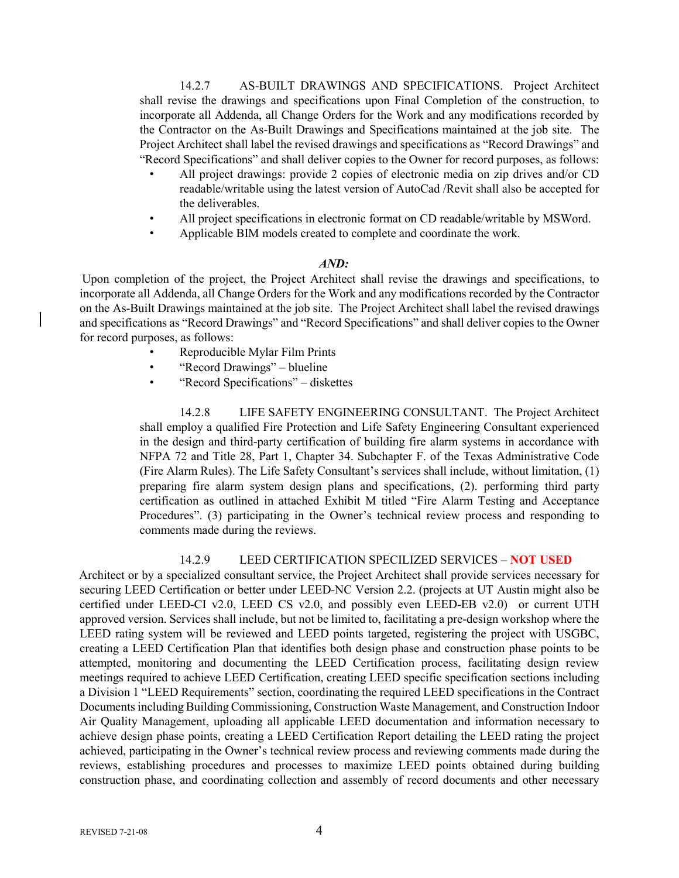14.2.7 AS-BUILT DRAWINGS AND SPECIFICATIONS. Project Architect shall revise the drawings and specifications upon Final Completion of the construction, to incorporate all Addenda, all Change Orders for the Work and any modifications recorded by the Contractor on the As-Built Drawings and Specifications maintained at the job site. The Project Architect shall label the revised drawings and specifications as "Record Drawings" and "Record Specifications" and shall deliver copies to the Owner for record purposes, as follows:

- All project drawings: provide 2 copies of electronic media on zip drives and/or CD readable/writable using the latest version of AutoCad /Revit shall also be accepted for the deliverables.
- All project specifications in electronic format on CD readable/writable by MSWord.
- Applicable BIM models created to complete and coordinate the work.

#### *AND:*

Upon completion of the project, the Project Architect shall revise the drawings and specifications, to incorporate all Addenda, all Change Orders for the Work and any modifications recorded by the Contractor on the As-Built Drawings maintained at the job site. The Project Architect shall label the revised drawings and specifications as "Record Drawings" and "Record Specifications" and shall deliver copies to the Owner for record purposes, as follows:

- Reproducible Mylar Film Prints
- "Record Drawings" blueline
- "Record Specifications" diskettes

14.2.8 LIFE SAFETY ENGINEERING CONSULTANT. The Project Architect shall employ a qualified Fire Protection and Life Safety Engineering Consultant experienced in the design and third-party certification of building fire alarm systems in accordance with NFPA 72 and Title 28, Part 1, Chapter 34. Subchapter F. of the Texas Administrative Code (Fire Alarm Rules). The Life Safety Consultant's services shall include, without limitation, (1) preparing fire alarm system design plans and specifications, (2). performing third party certification as outlined in attached Exhibit M titled "Fire Alarm Testing and Acceptance Procedures". (3) participating in the Owner's technical review process and responding to comments made during the reviews.

#### 14.2.9 LEED CERTIFICATION SPECILIZED SERVICES – **NOT USED**

Architect or by a specialized consultant service, the Project Architect shall provide services necessary for securing LEED Certification or better under LEED-NC Version 2.2. (projects at UT Austin might also be certified under LEED-CI v2.0, LEED CS v2.0, and possibly even LEED-EB v2.0) or current UTH approved version. Services shall include, but not be limited to, facilitating a pre-design workshop where the LEED rating system will be reviewed and LEED points targeted, registering the project with USGBC, creating a LEED Certification Plan that identifies both design phase and construction phase points to be attempted, monitoring and documenting the LEED Certification process, facilitating design review meetings required to achieve LEED Certification, creating LEED specific specification sections including a Division 1 "LEED Requirements" section, coordinating the required LEED specifications in the Contract Documents including Building Commissioning, Construction Waste Management, and Construction Indoor Air Quality Management, uploading all applicable LEED documentation and information necessary to achieve design phase points, creating a LEED Certification Report detailing the LEED rating the project achieved, participating in the Owner's technical review process and reviewing comments made during the reviews, establishing procedures and processes to maximize LEED points obtained during building construction phase, and coordinating collection and assembly of record documents and other necessary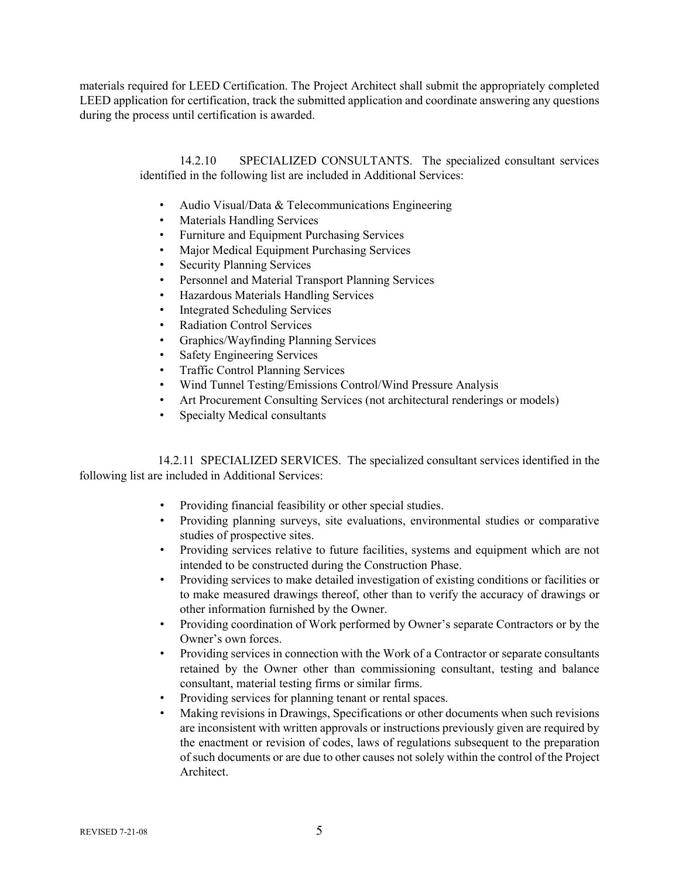materials required for LEED Certification. The Project Architect shall submit the appropriately completed LEED application for certification, track the submitted application and coordinate answering any questions during the process until certification is awarded.

> 14.2.10 SPECIALIZED CONSULTANTS. The specialized consultant services identified in the following list are included in Additional Services:

- Audio Visual/Data & Telecommunications Engineering
- Materials Handling Services
- Furniture and Equipment Purchasing Services
- Major Medical Equipment Purchasing Services
- Security Planning Services
- Personnel and Material Transport Planning Services
- Hazardous Materials Handling Services
- Integrated Scheduling Services
- Radiation Control Services
- Graphics/Wayfinding Planning Services
- Safety Engineering Services
- Traffic Control Planning Services
- Wind Tunnel Testing/Emissions Control/Wind Pressure Analysis
- Art Procurement Consulting Services (not architectural renderings or models)
- Specialty Medical consultants

14.2.11 SPECIALIZED SERVICES. The specialized consultant services identified in the following list are included in Additional Services:

- Providing financial feasibility or other special studies.
- Providing planning surveys, site evaluations, environmental studies or comparative studies of prospective sites.
- Providing services relative to future facilities, systems and equipment which are not intended to be constructed during the Construction Phase.
- Providing services to make detailed investigation of existing conditions or facilities or to make measured drawings thereof, other than to verify the accuracy of drawings or other information furnished by the Owner.
- Providing coordination of Work performed by Owner's separate Contractors or by the Owner's own forces.
- Providing services in connection with the Work of a Contractor or separate consultants retained by the Owner other than commissioning consultant, testing and balance consultant, material testing firms or similar firms.
- Providing services for planning tenant or rental spaces.
- Making revisions in Drawings, Specifications or other documents when such revisions are inconsistent with written approvals or instructions previously given are required by the enactment or revision of codes, laws of regulations subsequent to the preparation of such documents or are due to other causes not solely within the control of the Project Architect.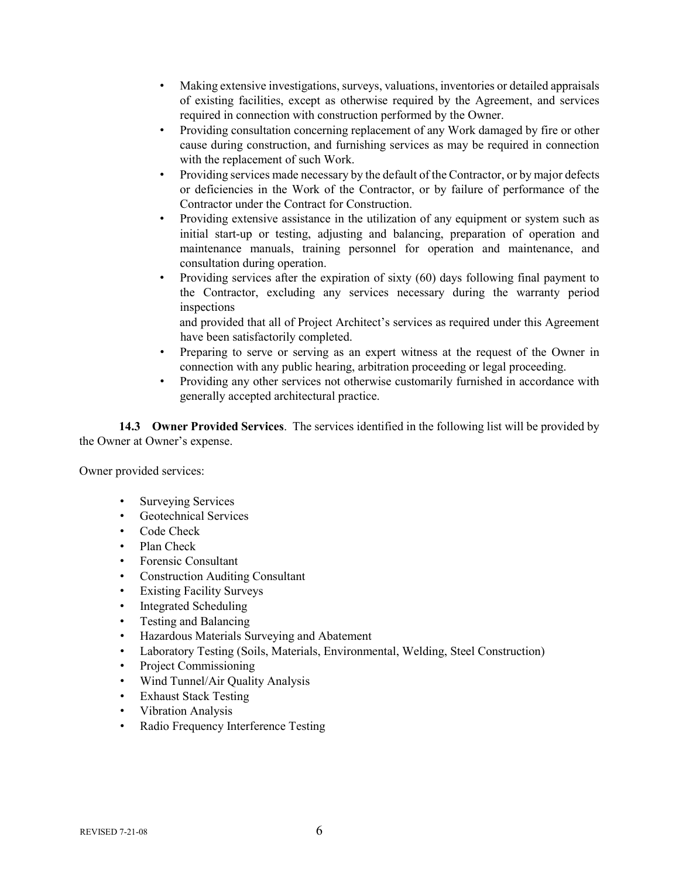- Making extensive investigations, surveys, valuations, inventories or detailed appraisals of existing facilities, except as otherwise required by the Agreement, and services required in connection with construction performed by the Owner.
- Providing consultation concerning replacement of any Work damaged by fire or other cause during construction, and furnishing services as may be required in connection with the replacement of such Work.
- Providing services made necessary by the default of the Contractor, or by major defects or deficiencies in the Work of the Contractor, or by failure of performance of the Contractor under the Contract for Construction.
- Providing extensive assistance in the utilization of any equipment or system such as initial start-up or testing, adjusting and balancing, preparation of operation and maintenance manuals, training personnel for operation and maintenance, and consultation during operation.
- Providing services after the expiration of sixty (60) days following final payment to the Contractor, excluding any services necessary during the warranty period inspections

and provided that all of Project Architect's services as required under this Agreement have been satisfactorily completed.

- Preparing to serve or serving as an expert witness at the request of the Owner in connection with any public hearing, arbitration proceeding or legal proceeding.
- Providing any other services not otherwise customarily furnished in accordance with generally accepted architectural practice.

**14.3 Owner Provided Services**.The services identified in the following list will be provided by the Owner at Owner's expense.

Owner provided services:

- Surveying Services
- Geotechnical Services
- Code Check
- Plan Check
- Forensic Consultant
- Construction Auditing Consultant
- Existing Facility Surveys
- Integrated Scheduling
- Testing and Balancing
- Hazardous Materials Surveying and Abatement
- Laboratory Testing (Soils, Materials, Environmental, Welding, Steel Construction)
- Project Commissioning
- Wind Tunnel/Air Quality Analysis
- Exhaust Stack Testing
- Vibration Analysis
- Radio Frequency Interference Testing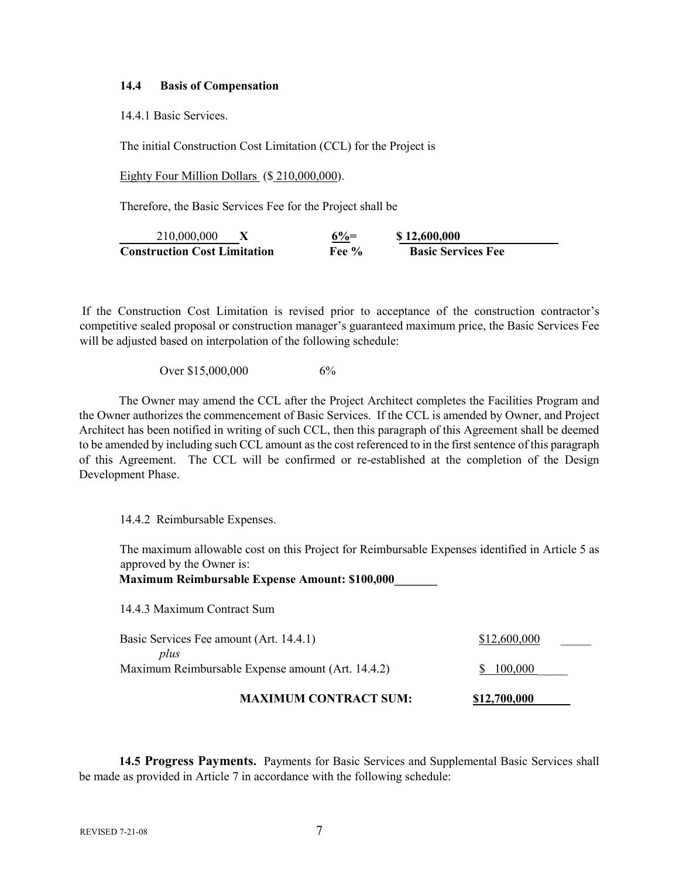#### **14.4 Basis of Compensation**

14.4.1 Basic Services.

The initial Construction Cost Limitation (CCL) for the Project is

Eighty Four Million Dollars (\$210,000,000).

Therefore, the Basic Services Fee for the Project shall be

210,000,000 **X 6%= \$ 12,600,000 Construction Cost Limitation Fee % Basic Services Fee** 

If the Construction Cost Limitation is revised prior to acceptance of the construction contractor's competitive sealed proposal or construction manager's guaranteed maximum price, the Basic Services Fee will be adjusted based on interpolation of the following schedule:

Over \$15,000,000 6%

The Owner may amend the CCL after the Project Architect completes the Facilities Program and the Owner authorizes the commencement of Basic Services. If the CCL is amended by Owner, and Project Architect has been notified in writing of such CCL, then this paragraph of this Agreement shall be deemed to be amended by including such CCL amount as the cost referenced to in the first sentence of this paragraph of this Agreement. The CCL will be confirmed or re-established at the completion of the Design Development Phase.

14.4.2 Reimbursable Expenses.

The maximum allowable cost on this Project for Reimbursable Expenses identified in Article 5 as approved by the Owner is:

**Maximum Reimbursable Expense Amount: \$100,000\_\_\_\_\_\_\_** 

14.4.3 Maximum Contract Sum

| <b>MAXIMUM CONTRACT SUM:</b>                              | \$12,700,000 |
|-----------------------------------------------------------|--------------|
| plus<br>Maximum Reimbursable Expense amount (Art. 14.4.2) | \$ 100,000   |
| Basic Services Fee amount (Art. 14.4.1)                   | \$12,600,000 |

**14.5 Progress Payments.** Payments for Basic Services and Supplemental Basic Services shall be made as provided in Article 7 in accordance with the following schedule: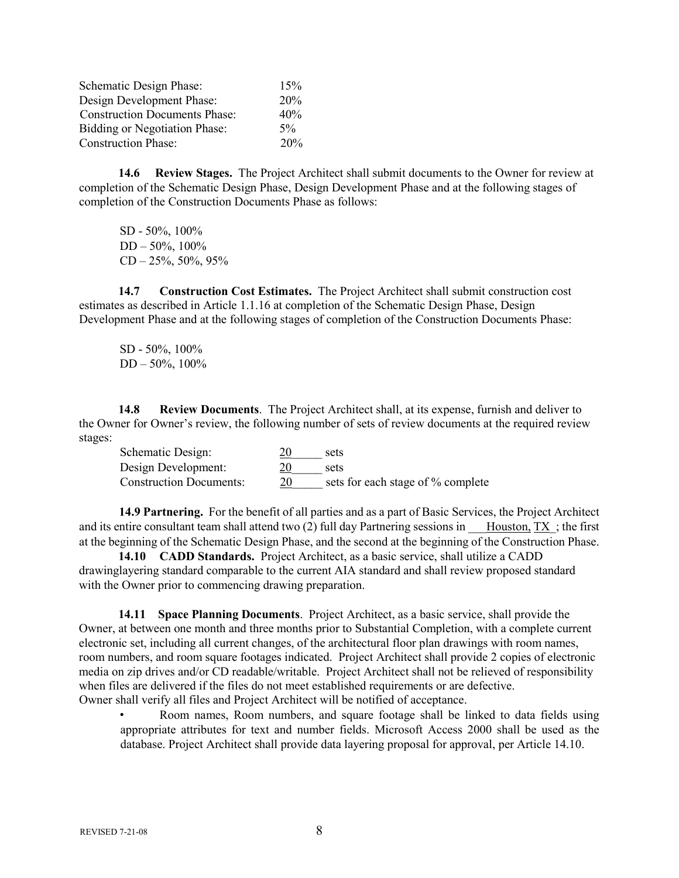| Schematic Design Phase:              | 15%   |
|--------------------------------------|-------|
| Design Development Phase:            | 20%   |
| <b>Construction Documents Phase:</b> | 40%   |
| <b>Bidding or Negotiation Phase:</b> | $5\%$ |
| <b>Construction Phase:</b>           | 20%   |

**14.6 Review Stages.** The Project Architect shall submit documents to the Owner for review at completion of the Schematic Design Phase, Design Development Phase and at the following stages of completion of the Construction Documents Phase as follows:

SD - 50%, 100% DD – 50%, 100%  $CD - 25\%, 50\%, 95\%$ 

**14.7 Construction Cost Estimates.** The Project Architect shall submit construction cost estimates as described in Article 1.1.16 at completion of the Schematic Design Phase, Design Development Phase and at the following stages of completion of the Construction Documents Phase:

SD - 50%, 100% DD – 50%, 100%

**14.8 Review Documents**. The Project Architect shall, at its expense, furnish and deliver to the Owner for Owner's review, the following number of sets of review documents at the required review stages:

| Schematic Design:              |    | sets                              |
|--------------------------------|----|-----------------------------------|
| Design Development:            |    | sets                              |
| <b>Construction Documents:</b> | 20 | sets for each stage of % complete |

**14.9 Partnering.** For the benefit of all parties and as a part of Basic Services, the Project Architect and its entire consultant team shall attend two  $(2)$  full day Partnering sessions in Houston, TX; the first at the beginning of the Schematic Design Phase, and the second at the beginning of the Construction Phase.

**14.10 CADD Standards.** Project Architect, as a basic service, shall utilize a CADD drawinglayering standard comparable to the current AIA standard and shall review proposed standard with the Owner prior to commencing drawing preparation.

**14.11 Space Planning Documents**. Project Architect, as a basic service, shall provide the Owner, at between one month and three months prior to Substantial Completion, with a complete current electronic set, including all current changes, of the architectural floor plan drawings with room names, room numbers, and room square footages indicated. Project Architect shall provide 2 copies of electronic media on zip drives and/or CD readable/writable. Project Architect shall not be relieved of responsibility when files are delivered if the files do not meet established requirements or are defective. Owner shall verify all files and Project Architect will be notified of acceptance.

• Room names, Room numbers, and square footage shall be linked to data fields using appropriate attributes for text and number fields. Microsoft Access 2000 shall be used as the database. Project Architect shall provide data layering proposal for approval, per Article 14.10.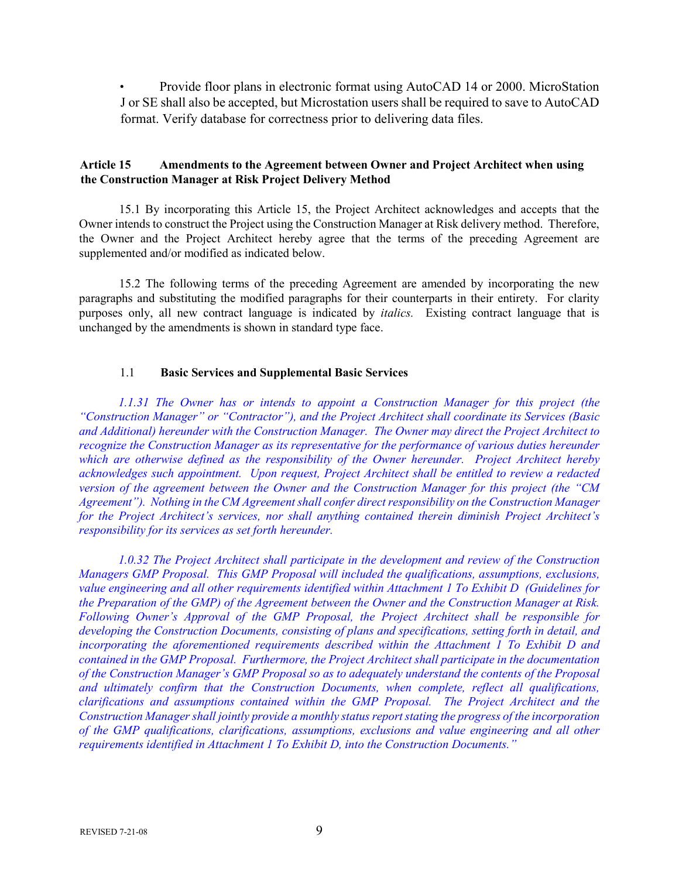• Provide floor plans in electronic format using AutoCAD 14 or 2000. MicroStation J or SE shall also be accepted, but Microstation users shall be required to save to AutoCAD format. Verify database for correctness prior to delivering data files.

## **Article 15 Amendments to the Agreement between Owner and Project Architect when using the Construction Manager at Risk Project Delivery Method**

15.1 By incorporating this Article 15, the Project Architect acknowledges and accepts that the Owner intends to construct the Project using the Construction Manager at Risk delivery method. Therefore, the Owner and the Project Architect hereby agree that the terms of the preceding Agreement are supplemented and/or modified as indicated below.

15.2 The following terms of the preceding Agreement are amended by incorporating the new paragraphs and substituting the modified paragraphs for their counterparts in their entirety. For clarity purposes only, all new contract language is indicated by *italics.* Existing contract language that is unchanged by the amendments is shown in standard type face.

## 1.1 **Basic Services and Supplemental Basic Services**

*1.1.31 The Owner has or intends to appoint a Construction Manager for this project (the "Construction Manager" or "Contractor"), and the Project Architect shall coordinate its Services (Basic and Additional) hereunder with the Construction Manager. The Owner may direct the Project Architect to recognize the Construction Manager as its representative for the performance of various duties hereunder which are otherwise defined as the responsibility of the Owner hereunder. Project Architect hereby acknowledges such appointment. Upon request, Project Architect shall be entitled to review a redacted version of the agreement between the Owner and the Construction Manager for this project (the "CM Agreement"). Nothing in the CM Agreement shall confer direct responsibility on the Construction Manager for the Project Architect's services, nor shall anything contained therein diminish Project Architect's responsibility for its services as set forth hereunder.* 

*1.0.32 The Project Architect shall participate in the development and review of the Construction Managers GMP Proposal. This GMP Proposal will included the qualifications, assumptions, exclusions, value engineering and all other requirements identified within Attachment 1 To Exhibit D (Guidelines for the Preparation of the GMP) of the Agreement between the Owner and the Construction Manager at Risk. Following Owner's Approval of the GMP Proposal, the Project Architect shall be responsible for developing the Construction Documents, consisting of plans and specifications, setting forth in detail, and incorporating the aforementioned requirements described within the Attachment 1 To Exhibit D and contained in the GMP Proposal. Furthermore, the Project Architect shall participate in the documentation of the Construction Manager's GMP Proposal so as to adequately understand the contents of the Proposal and ultimately confirm that the Construction Documents, when complete, reflect all qualifications, clarifications and assumptions contained within the GMP Proposal. The Project Architect and the Construction Manager shall jointly provide a monthly status report stating the progress of the incorporation of the GMP qualifications, clarifications, assumptions, exclusions and value engineering and all other requirements identified in Attachment 1 To Exhibit D, into the Construction Documents."*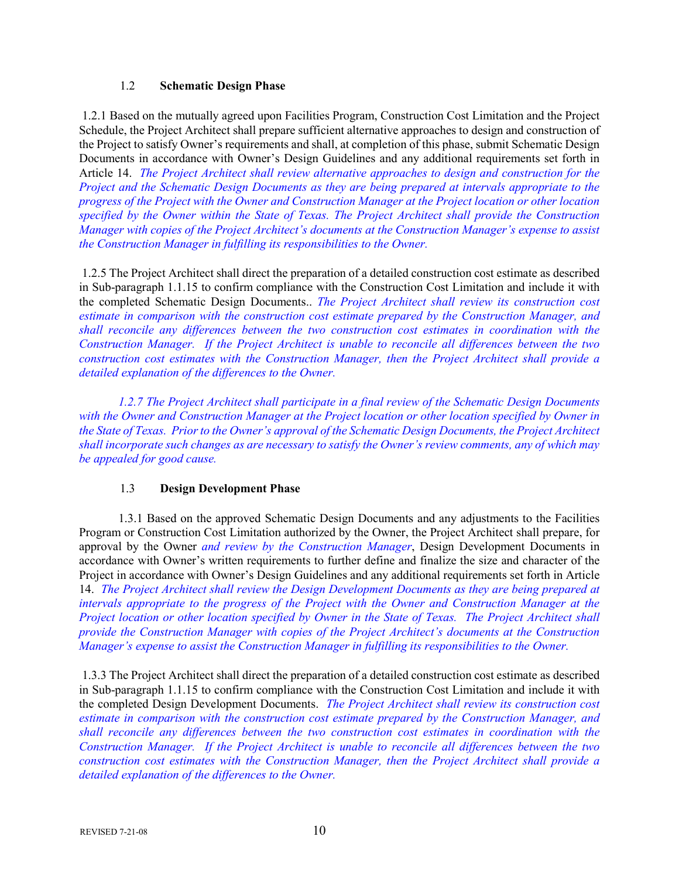## 1.2 **Schematic Design Phase**

1.2.1 Based on the mutually agreed upon Facilities Program, Construction Cost Limitation and the Project Schedule, the Project Architect shall prepare sufficient alternative approaches to design and construction of the Project to satisfy Owner's requirements and shall, at completion of this phase, submit Schematic Design Documents in accordance with Owner's Design Guidelines and any additional requirements set forth in Article 14. *The Project Architect shall review alternative approaches to design and construction for the Project and the Schematic Design Documents as they are being prepared at intervals appropriate to the progress of the Project with the Owner and Construction Manager at the Project location or other location specified by the Owner within the State of Texas. The Project Architect shall provide the Construction Manager with copies of the Project Architect's documents at the Construction Manager's expense to assist the Construction Manager in fulfilling its responsibilities to the Owner.*

1.2.5 The Project Architect shall direct the preparation of a detailed construction cost estimate as described in Sub-paragraph 1.1.15 to confirm compliance with the Construction Cost Limitation and include it with the completed Schematic Design Documents.. *The Project Architect shall review its construction cost estimate in comparison with the construction cost estimate prepared by the Construction Manager, and shall reconcile any differences between the two construction cost estimates in coordination with the Construction Manager. If the Project Architect is unable to reconcile all differences between the two construction cost estimates with the Construction Manager, then the Project Architect shall provide a detailed explanation of the differences to the Owner.* 

*1.2.7 The Project Architect shall participate in a final review of the Schematic Design Documents with the Owner and Construction Manager at the Project location or other location specified by Owner in the State of Texas. Prior to the Owner's approval of the Schematic Design Documents, the Project Architect shall incorporate such changes as are necessary to satisfy the Owner's review comments, any of which may be appealed for good cause.* 

# 1.3 **Design Development Phase**

1.3.1 Based on the approved Schematic Design Documents and any adjustments to the Facilities Program or Construction Cost Limitation authorized by the Owner, the Project Architect shall prepare, for approval by the Owner *and review by the Construction Manager*, Design Development Documents in accordance with Owner's written requirements to further define and finalize the size and character of the Project in accordance with Owner's Design Guidelines and any additional requirements set forth in Article 14. *The Project Architect shall review the Design Development Documents as they are being prepared at intervals appropriate to the progress of the Project with the Owner and Construction Manager at the Project location or other location specified by Owner in the State of Texas. The Project Architect shall provide the Construction Manager with copies of the Project Architect's documents at the Construction Manager's expense to assist the Construction Manager in fulfilling its responsibilities to the Owner.* 

1.3.3 The Project Architect shall direct the preparation of a detailed construction cost estimate as described in Sub-paragraph 1.1.15 to confirm compliance with the Construction Cost Limitation and include it with the completed Design Development Documents. *The Project Architect shall review its construction cost estimate in comparison with the construction cost estimate prepared by the Construction Manager, and shall reconcile any differences between the two construction cost estimates in coordination with the Construction Manager. If the Project Architect is unable to reconcile all differences between the two construction cost estimates with the Construction Manager, then the Project Architect shall provide a detailed explanation of the differences to the Owner.*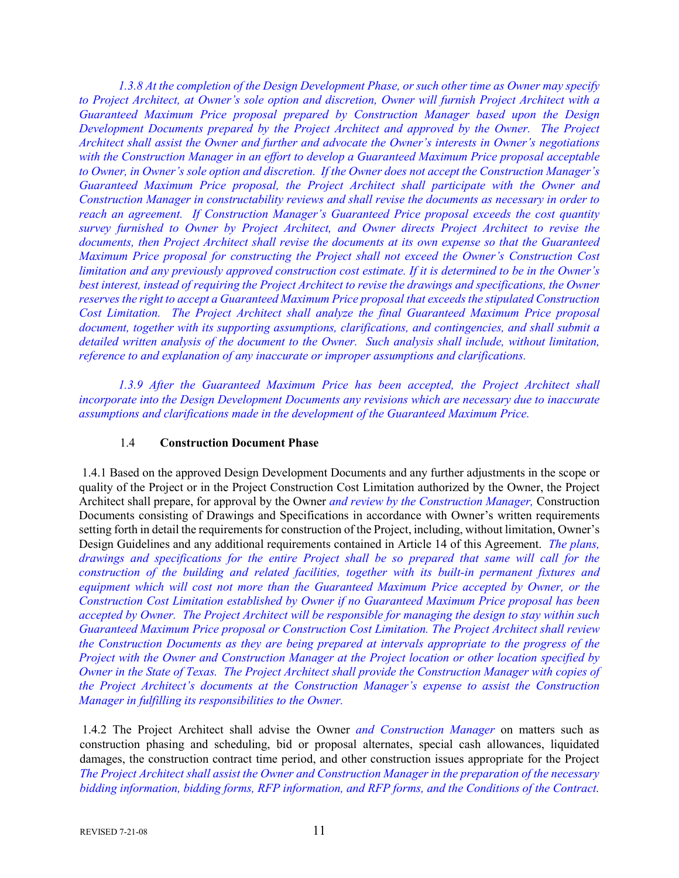*1.3.8 At the completion of the Design Development Phase, or such other time as Owner may specify to Project Architect, at Owner's sole option and discretion, Owner will furnish Project Architect with a Guaranteed Maximum Price proposal prepared by Construction Manager based upon the Design Development Documents prepared by the Project Architect and approved by the Owner. The Project Architect shall assist the Owner and further and advocate the Owner's interests in Owner's negotiations with the Construction Manager in an effort to develop a Guaranteed Maximum Price proposal acceptable to Owner, in Owner's sole option and discretion. If the Owner does not accept the Construction Manager's Guaranteed Maximum Price proposal, the Project Architect shall participate with the Owner and Construction Manager in constructability reviews and shall revise the documents as necessary in order to reach an agreement. If Construction Manager's Guaranteed Price proposal exceeds the cost quantity survey furnished to Owner by Project Architect, and Owner directs Project Architect to revise the documents, then Project Architect shall revise the documents at its own expense so that the Guaranteed Maximum Price proposal for constructing the Project shall not exceed the Owner's Construction Cost limitation and any previously approved construction cost estimate. If it is determined to be in the Owner's best interest, instead of requiring the Project Architect to revise the drawings and specifications, the Owner reserves the right to accept a Guaranteed Maximum Price proposal that exceeds the stipulated Construction Cost Limitation. The Project Architect shall analyze the final Guaranteed Maximum Price proposal document, together with its supporting assumptions, clarifications, and contingencies, and shall submit a detailed written analysis of the document to the Owner. Such analysis shall include, without limitation, reference to and explanation of any inaccurate or improper assumptions and clarifications.* 

*1.3.9 After the Guaranteed Maximum Price has been accepted, the Project Architect shall incorporate into the Design Development Documents any revisions which are necessary due to inaccurate assumptions and clarifications made in the development of the Guaranteed Maximum Price.* 

#### 1.4 **Construction Document Phase**

1.4.1 Based on the approved Design Development Documents and any further adjustments in the scope or quality of the Project or in the Project Construction Cost Limitation authorized by the Owner, the Project Architect shall prepare, for approval by the Owner *and review by the Construction Manager,* Construction Documents consisting of Drawings and Specifications in accordance with Owner's written requirements setting forth in detail the requirements for construction of the Project, including, without limitation, Owner's Design Guidelines and any additional requirements contained in Article 14 of this Agreement. *The plans, drawings and specifications for the entire Project shall be so prepared that same will call for the construction of the building and related facilities, together with its built-in permanent fixtures and equipment which will cost not more than the Guaranteed Maximum Price accepted by Owner, or the Construction Cost Limitation established by Owner if no Guaranteed Maximum Price proposal has been accepted by Owner. The Project Architect will be responsible for managing the design to stay within such Guaranteed Maximum Price proposal or Construction Cost Limitation. The Project Architect shall review the Construction Documents as they are being prepared at intervals appropriate to the progress of the Project with the Owner and Construction Manager at the Project location or other location specified by Owner in the State of Texas. The Project Architect shall provide the Construction Manager with copies of the Project Architect's documents at the Construction Manager's expense to assist the Construction Manager in fulfilling its responsibilities to the Owner.* 

1.4.2 The Project Architect shall advise the Owner *and Construction Manager* on matters such as construction phasing and scheduling, bid or proposal alternates, special cash allowances, liquidated damages, the construction contract time period, and other construction issues appropriate for the Project *The Project Architect shall assist the Owner and Construction Manager in the preparation of the necessary bidding information, bidding forms, RFP information, and RFP forms, and the Conditions of the Contract.*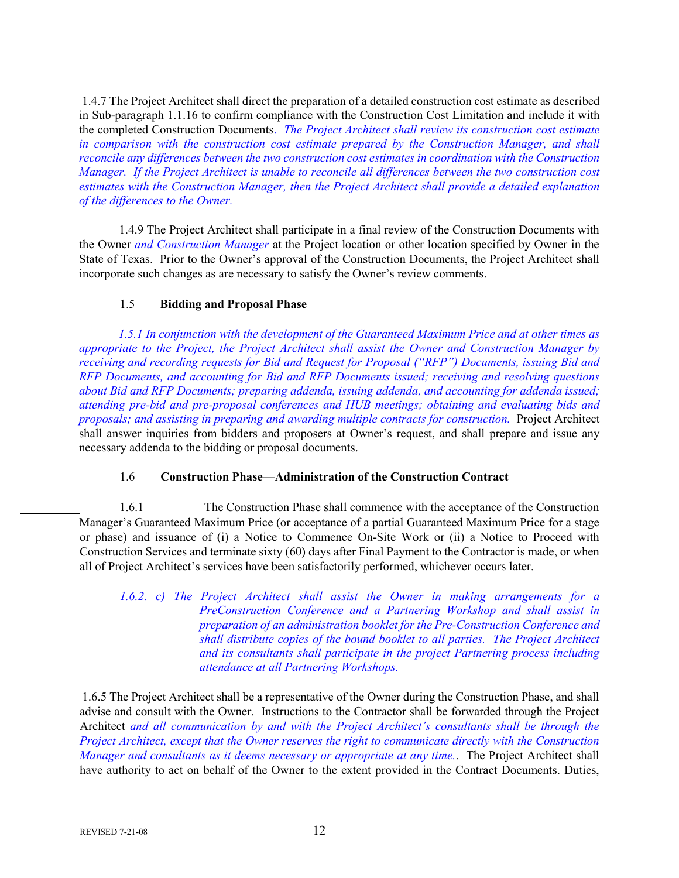1.4.7 The Project Architect shall direct the preparation of a detailed construction cost estimate as described in Sub-paragraph 1.1.16 to confirm compliance with the Construction Cost Limitation and include it with the completed Construction Documents. *The Project Architect shall review its construction cost estimate in comparison with the construction cost estimate prepared by the Construction Manager, and shall reconcile any differences between the two construction cost estimates in coordination with the Construction Manager. If the Project Architect is unable to reconcile all differences between the two construction cost estimates with the Construction Manager, then the Project Architect shall provide a detailed explanation of the differences to the Owner.* 

1.4.9 The Project Architect shall participate in a final review of the Construction Documents with the Owner *and Construction Manager* at the Project location or other location specified by Owner in the State of Texas. Prior to the Owner's approval of the Construction Documents, the Project Architect shall incorporate such changes as are necessary to satisfy the Owner's review comments.

## 1.5 **Bidding and Proposal Phase**

*1.5.1 In conjunction with the development of the Guaranteed Maximum Price and at other times as appropriate to the Project, the Project Architect shall assist the Owner and Construction Manager by receiving and recording requests for Bid and Request for Proposal ("RFP") Documents, issuing Bid and RFP Documents, and accounting for Bid and RFP Documents issued; receiving and resolving questions about Bid and RFP Documents; preparing addenda, issuing addenda, and accounting for addenda issued; attending pre-bid and pre-proposal conferences and HUB meetings; obtaining and evaluating bids and proposals; and assisting in preparing and awarding multiple contracts for construction.* Project Architect shall answer inquiries from bidders and proposers at Owner's request, and shall prepare and issue any necessary addenda to the bidding or proposal documents.

#### 1.6 **Construction Phase—Administration of the Construction Contract**

1.6.1 The Construction Phase shall commence with the acceptance of the Construction Manager's Guaranteed Maximum Price (or acceptance of a partial Guaranteed Maximum Price for a stage or phase) and issuance of (i) a Notice to Commence On-Site Work or (ii) a Notice to Proceed with Construction Services and terminate sixty (60) days after Final Payment to the Contractor is made, or when all of Project Architect's services have been satisfactorily performed, whichever occurs later.

*1.6.2. c)* The Project Architect shall assist the Owner in making arrangements for a *PreConstruction Conference and a Partnering Workshop and shall assist in preparation of an administration booklet for the Pre-Construction Conference and shall distribute copies of the bound booklet to all parties. The Project Architect and its consultants shall participate in the project Partnering process including attendance at all Partnering Workshops.* 

1.6.5 The Project Architect shall be a representative of the Owner during the Construction Phase, and shall advise and consult with the Owner. Instructions to the Contractor shall be forwarded through the Project Architect *and all communication by and with the Project Architect's consultants shall be through the Project Architect, except that the Owner reserves the right to communicate directly with the Construction Manager and consultants as it deems necessary or appropriate at any time.*. The Project Architect shall have authority to act on behalf of the Owner to the extent provided in the Contract Documents. Duties,